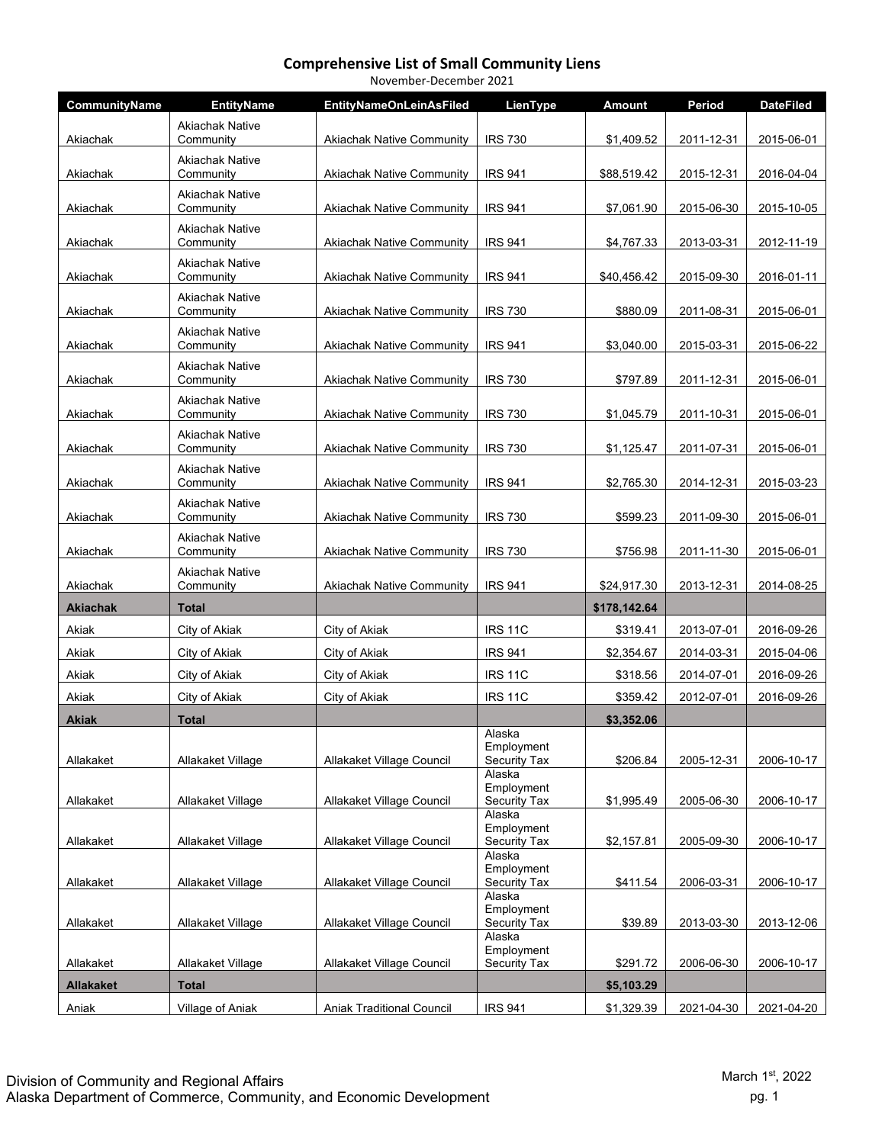|                  | November-December 2021              |                                  |                                             |               |            |                  |  |  |  |
|------------------|-------------------------------------|----------------------------------|---------------------------------------------|---------------|------------|------------------|--|--|--|
| CommunityName    | <b>EntityName</b>                   | <b>EntityNameOnLeinAsFiled</b>   | LienType                                    | <b>Amount</b> | Period     | <b>DateFiled</b> |  |  |  |
| Akiachak         | Akiachak Native<br>Community        | <b>Akiachak Native Community</b> | <b>IRS 730</b>                              | \$1,409.52    | 2011-12-31 | 2015-06-01       |  |  |  |
| Akiachak         | <b>Akiachak Native</b><br>Community | <b>Akiachak Native Community</b> | <b>IRS 941</b>                              | \$88,519.42   | 2015-12-31 | 2016-04-04       |  |  |  |
| Akiachak         | <b>Akiachak Native</b><br>Community | <b>Akiachak Native Community</b> | <b>IRS 941</b>                              | \$7,061.90    | 2015-06-30 | 2015-10-05       |  |  |  |
| Akiachak         | <b>Akiachak Native</b><br>Community | <b>Akiachak Native Community</b> | <b>IRS 941</b>                              | \$4,767.33    | 2013-03-31 | 2012-11-19       |  |  |  |
| Akiachak         | <b>Akiachak Native</b><br>Community | <b>Akiachak Native Community</b> | <b>IRS 941</b>                              | \$40,456.42   | 2015-09-30 | 2016-01-11       |  |  |  |
| Akiachak         | <b>Akiachak Native</b><br>Community | <b>Akiachak Native Community</b> | <b>IRS 730</b>                              | \$880.09      | 2011-08-31 | 2015-06-01       |  |  |  |
| Akiachak         | <b>Akiachak Native</b><br>Community | <b>Akiachak Native Community</b> | <b>IRS 941</b>                              | \$3,040.00    | 2015-03-31 | 2015-06-22       |  |  |  |
| Akiachak         | <b>Akiachak Native</b><br>Community | <b>Akiachak Native Community</b> | <b>IRS 730</b>                              | \$797.89      | 2011-12-31 | 2015-06-01       |  |  |  |
| Akiachak         | <b>Akiachak Native</b><br>Community | <b>Akiachak Native Community</b> | <b>IRS 730</b>                              | \$1,045.79    | 2011-10-31 | 2015-06-01       |  |  |  |
| Akiachak         | <b>Akiachak Native</b><br>Community | <b>Akiachak Native Community</b> | <b>IRS 730</b>                              | \$1,125.47    | 2011-07-31 | 2015-06-01       |  |  |  |
| Akiachak         | <b>Akiachak Native</b><br>Community | <b>Akiachak Native Community</b> | <b>IRS 941</b>                              | \$2,765.30    | 2014-12-31 | 2015-03-23       |  |  |  |
| Akiachak         | Akiachak Native<br>Community        | <b>Akiachak Native Community</b> | <b>IRS 730</b>                              | \$599.23      | 2011-09-30 | 2015-06-01       |  |  |  |
| Akiachak         | <b>Akiachak Native</b><br>Community | <b>Akiachak Native Community</b> | <b>IRS 730</b>                              | \$756.98      | 2011-11-30 | 2015-06-01       |  |  |  |
| Akiachak         | <b>Akiachak Native</b><br>Community | <b>Akiachak Native Community</b> | <b>IRS 941</b>                              | \$24,917.30   | 2013-12-31 | 2014-08-25       |  |  |  |
| <b>Akiachak</b>  | Total                               |                                  |                                             | \$178,142.64  |            |                  |  |  |  |
| Akiak            | City of Akiak                       | City of Akiak                    | <b>IRS 11C</b>                              | \$319.41      | 2013-07-01 | 2016-09-26       |  |  |  |
| Akiak            | City of Akiak                       | City of Akiak                    | <b>IRS 941</b>                              | \$2,354.67    | 2014-03-31 | 2015-04-06       |  |  |  |
| Akiak            | City of Akiak                       | City of Akiak                    | <b>IRS 11C</b>                              | \$318.56      | 2014-07-01 | 2016-09-26       |  |  |  |
| Akiak            | City of Akiak                       | City of Akiak                    | <b>IRS 11C</b>                              | \$359.42      | 2012-07-01 | 2016-09-26       |  |  |  |
| Akiak            | <b>Total</b>                        |                                  |                                             | \$3,352.06    |            |                  |  |  |  |
| Allakaket        | Allakaket Village                   | Allakaket Village Council        | Alaska<br>Employment<br><b>Security Tax</b> | \$206.84      | 2005-12-31 | 2006-10-17       |  |  |  |
| Allakaket        | Allakaket Village                   | Allakaket Village Council        | Alaska<br>Employment<br>Security Tax        | \$1,995.49    | 2005-06-30 | 2006-10-17       |  |  |  |
| Allakaket        | Allakaket Village                   | Allakaket Village Council        | Alaska<br>Employment<br>Security Tax        | \$2,157.81    | 2005-09-30 | 2006-10-17       |  |  |  |
| Allakaket        | Allakaket Village                   | Allakaket Village Council        | Alaska<br>Employment<br><b>Security Tax</b> | \$411.54      | 2006-03-31 | 2006-10-17       |  |  |  |
| Allakaket        | Allakaket Village                   | Allakaket Village Council        | Alaska<br>Employment<br><b>Security Tax</b> | \$39.89       | 2013-03-30 | 2013-12-06       |  |  |  |
|                  |                                     |                                  | Alaska<br>Employment                        |               |            |                  |  |  |  |
| Allakaket        | Allakaket Village                   | Allakaket Village Council        | <b>Security Tax</b>                         | \$291.72      | 2006-06-30 | 2006-10-17       |  |  |  |
| <b>Allakaket</b> | <b>Total</b>                        |                                  |                                             | \$5,103.29    |            |                  |  |  |  |
| Aniak            | Village of Aniak                    | Aniak Traditional Council        | <b>IRS 941</b>                              | \$1,329.39    | 2021-04-30 | 2021-04-20       |  |  |  |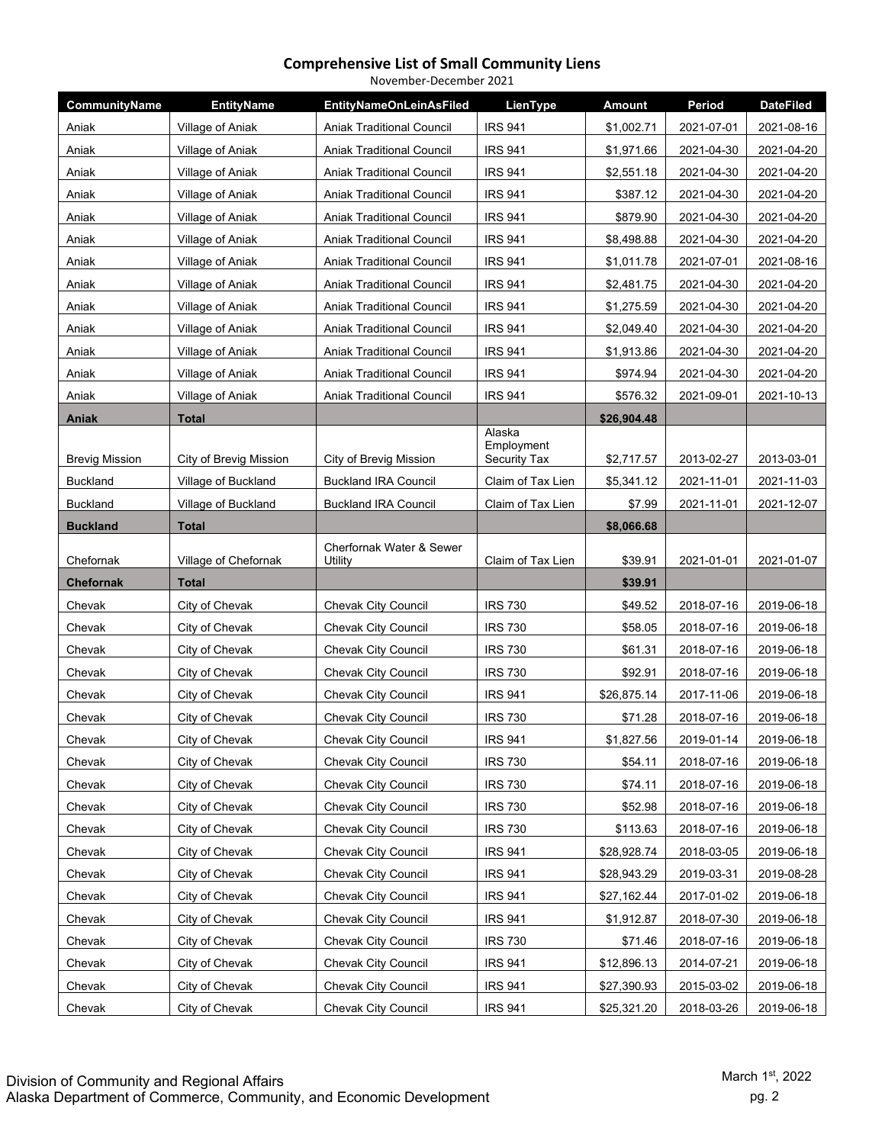|                       |                        | November-December 2021              |                      |               |            |                  |
|-----------------------|------------------------|-------------------------------------|----------------------|---------------|------------|------------------|
| CommunityName         | <b>EntityName</b>      | <b>EntityNameOnLeinAsFiled</b>      | LienType             | <b>Amount</b> | Period     | <b>DateFiled</b> |
| Aniak                 | Village of Aniak       | <b>Aniak Traditional Council</b>    | <b>IRS 941</b>       | \$1,002.71    | 2021-07-01 | 2021-08-16       |
| Aniak                 | Village of Aniak       | <b>Aniak Traditional Council</b>    | <b>IRS 941</b>       | \$1,971.66    | 2021-04-30 | 2021-04-20       |
| Aniak                 | Village of Aniak       | <b>Aniak Traditional Council</b>    | <b>IRS 941</b>       | \$2,551.18    | 2021-04-30 | 2021-04-20       |
| Aniak                 | Village of Aniak       | <b>Aniak Traditional Council</b>    | <b>IRS 941</b>       | \$387.12      | 2021-04-30 | 2021-04-20       |
| Aniak                 | Village of Aniak       | <b>Aniak Traditional Council</b>    | <b>IRS 941</b>       | \$879.90      | 2021-04-30 | 2021-04-20       |
| Aniak                 | Village of Aniak       | <b>Aniak Traditional Council</b>    | <b>IRS 941</b>       | \$8,498.88    | 2021-04-30 | 2021-04-20       |
| Aniak                 | Village of Aniak       | <b>Aniak Traditional Council</b>    | <b>IRS 941</b>       | \$1,011.78    | 2021-07-01 | 2021-08-16       |
| Aniak                 | Village of Aniak       | <b>Aniak Traditional Council</b>    | <b>IRS 941</b>       | \$2,481.75    | 2021-04-30 | 2021-04-20       |
| Aniak                 | Village of Aniak       | <b>Aniak Traditional Council</b>    | <b>IRS 941</b>       | \$1,275.59    | 2021-04-30 | 2021-04-20       |
| Aniak                 | Village of Aniak       | <b>Aniak Traditional Council</b>    | <b>IRS 941</b>       | \$2,049.40    | 2021-04-30 | 2021-04-20       |
| Aniak                 | Village of Aniak       | <b>Aniak Traditional Council</b>    | <b>IRS 941</b>       | \$1,913.86    | 2021-04-30 | 2021-04-20       |
| Aniak                 | Village of Aniak       | <b>Aniak Traditional Council</b>    | <b>IRS 941</b>       | \$974.94      | 2021-04-30 | 2021-04-20       |
| Aniak                 | Village of Aniak       | <b>Aniak Traditional Council</b>    | <b>IRS 941</b>       | \$576.32      | 2021-09-01 | 2021-10-13       |
| <b>Aniak</b>          | <b>Total</b>           |                                     |                      | \$26,904.48   |            |                  |
|                       |                        |                                     | Alaska<br>Employment |               |            |                  |
| <b>Brevig Mission</b> | City of Brevig Mission | City of Brevig Mission              | Security Tax         | \$2,717.57    | 2013-02-27 | 2013-03-01       |
| <b>Buckland</b>       | Village of Buckland    | <b>Buckland IRA Council</b>         | Claim of Tax Lien    | \$5,341.12    | 2021-11-01 | 2021-11-03       |
| <b>Buckland</b>       | Village of Buckland    | <b>Buckland IRA Council</b>         | Claim of Tax Lien    | \$7.99        | 2021-11-01 | 2021-12-07       |
| <b>Buckland</b>       | <b>Total</b>           |                                     |                      | \$8,066.68    |            |                  |
| Chefornak             | Village of Chefornak   | Cherfornak Water & Sewer<br>Utility | Claim of Tax Lien    | \$39.91       | 2021-01-01 | 2021-01-07       |
| <b>Chefornak</b>      | <b>Total</b>           |                                     |                      | \$39.91       |            |                  |
| Chevak                | City of Chevak         | <b>Chevak City Council</b>          | <b>IRS 730</b>       | \$49.52       | 2018-07-16 | 2019-06-18       |
| Chevak                | City of Chevak         | <b>Chevak City Council</b>          | <b>IRS 730</b>       | \$58.05       | 2018-07-16 | 2019-06-18       |
| Chevak                | City of Chevak         | Chevak City Council                 | <b>IRS 730</b>       | \$61.31       | 2018-07-16 | 2019-06-18       |
| Chevak                | City of Chevak         | <b>Chevak City Council</b>          | <b>IRS 730</b>       | \$92.91       | 2018-07-16 | 2019-06-18       |
| Chevak                | City of Chevak         | <b>Chevak City Council</b>          | <b>IRS 941</b>       | \$26,875.14   | 2017-11-06 | 2019-06-18       |
| Chevak                | City of Chevak         | Chevak City Council                 | <b>IRS 730</b>       | \$71.28       | 2018-07-16 | 2019-06-18       |
| Chevak                | City of Chevak         | <b>Chevak City Council</b>          | <b>IRS 941</b>       | \$1,827.56    | 2019-01-14 | 2019-06-18       |
| Chevak                | City of Chevak         | Chevak City Council                 | <b>IRS 730</b>       | \$54.11       | 2018-07-16 | 2019-06-18       |
| Chevak                | City of Chevak         | <b>Chevak City Council</b>          | <b>IRS 730</b>       | \$74.11       | 2018-07-16 | 2019-06-18       |
| Chevak                | City of Chevak         | Chevak City Council                 | <b>IRS 730</b>       | \$52.98       | 2018-07-16 | 2019-06-18       |
| Chevak                | City of Chevak         | Chevak City Council                 | <b>IRS 730</b>       | \$113.63      | 2018-07-16 | 2019-06-18       |
| Chevak                | City of Chevak         | Chevak City Council                 | <b>IRS 941</b>       | \$28,928.74   | 2018-03-05 | 2019-06-18       |
| Chevak                | City of Chevak         | Chevak City Council                 | <b>IRS 941</b>       | \$28,943.29   | 2019-03-31 | 2019-08-28       |
| Chevak                | City of Chevak         | <b>Chevak City Council</b>          | <b>IRS 941</b>       | \$27,162.44   | 2017-01-02 | 2019-06-18       |
| Chevak                | City of Chevak         | Chevak City Council                 | <b>IRS 941</b>       | \$1,912.87    | 2018-07-30 | 2019-06-18       |
| Chevak                | City of Chevak         | Chevak City Council                 | <b>IRS 730</b>       | \$71.46       | 2018-07-16 | 2019-06-18       |
| Chevak                | City of Chevak         | Chevak City Council                 | <b>IRS 941</b>       | \$12,896.13   | 2014-07-21 | 2019-06-18       |
| Chevak                | City of Chevak         | Chevak City Council                 | <b>IRS 941</b>       | \$27,390.93   | 2015-03-02 | 2019-06-18       |
| Chevak                | City of Chevak         | Chevak City Council                 | <b>IRS 941</b>       | \$25,321.20   | 2018-03-26 | 2019-06-18       |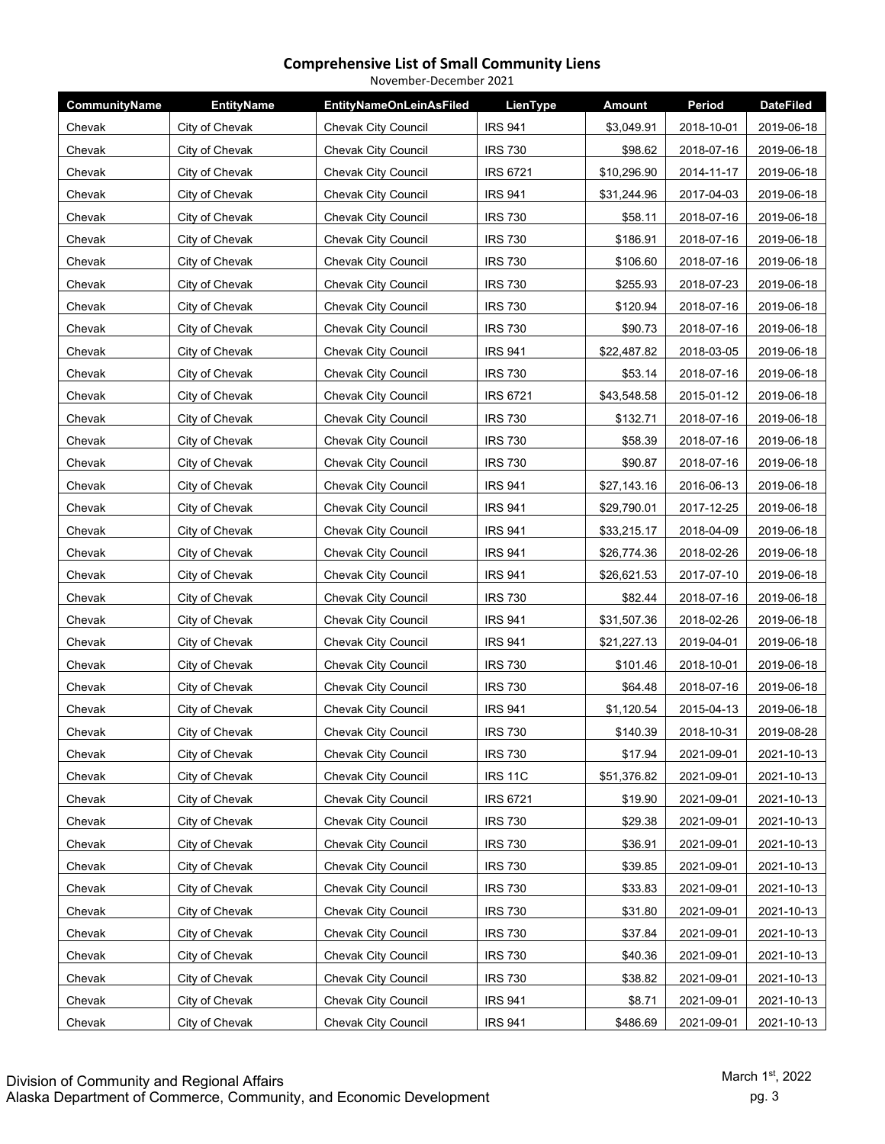| November-December 2021 |                   |                                |                 |               |            |                  |  |
|------------------------|-------------------|--------------------------------|-----------------|---------------|------------|------------------|--|
| CommunityName          | <b>EntityName</b> | <b>EntityNameOnLeinAsFiled</b> | LienType        | <b>Amount</b> | Period     | <b>DateFiled</b> |  |
| Chevak                 | City of Chevak    | Chevak City Council            | <b>IRS 941</b>  | \$3,049.91    | 2018-10-01 | 2019-06-18       |  |
| Chevak                 | City of Chevak    | <b>Chevak City Council</b>     | <b>IRS 730</b>  | \$98.62       | 2018-07-16 | 2019-06-18       |  |
| Chevak                 | City of Chevak    | <b>Chevak City Council</b>     | <b>IRS 6721</b> | \$10,296.90   | 2014-11-17 | 2019-06-18       |  |
| Chevak                 | City of Chevak    | Chevak City Council            | <b>IRS 941</b>  | \$31,244.96   | 2017-04-03 | 2019-06-18       |  |
| Chevak                 | City of Chevak    | Chevak City Council            | <b>IRS 730</b>  | \$58.11       | 2018-07-16 | 2019-06-18       |  |
| Chevak                 | City of Chevak    | <b>Chevak City Council</b>     | <b>IRS 730</b>  | \$186.91      | 2018-07-16 | 2019-06-18       |  |
| Chevak                 | City of Chevak    | <b>Chevak City Council</b>     | <b>IRS 730</b>  | \$106.60      | 2018-07-16 | 2019-06-18       |  |
| Chevak                 | City of Chevak    | Chevak City Council            | <b>IRS 730</b>  | \$255.93      | 2018-07-23 | 2019-06-18       |  |
| Chevak                 | City of Chevak    | <b>Chevak City Council</b>     | <b>IRS 730</b>  | \$120.94      | 2018-07-16 | 2019-06-18       |  |
| Chevak                 | City of Chevak    | Chevak City Council            | <b>IRS 730</b>  | \$90.73       | 2018-07-16 | 2019-06-18       |  |
| Chevak                 | City of Chevak    | Chevak City Council            | <b>IRS 941</b>  | \$22,487.82   | 2018-03-05 | 2019-06-18       |  |
| Chevak                 | City of Chevak    | <b>Chevak City Council</b>     | <b>IRS 730</b>  | \$53.14       | 2018-07-16 | 2019-06-18       |  |
| Chevak                 | City of Chevak    | Chevak City Council            | <b>IRS 6721</b> | \$43,548.58   | 2015-01-12 | 2019-06-18       |  |
| Chevak                 | City of Chevak    | <b>Chevak City Council</b>     | <b>IRS 730</b>  | \$132.71      | 2018-07-16 | 2019-06-18       |  |
| Chevak                 | City of Chevak    | <b>Chevak City Council</b>     | <b>IRS 730</b>  | \$58.39       | 2018-07-16 | 2019-06-18       |  |
| Chevak                 | City of Chevak    | Chevak City Council            | <b>IRS 730</b>  | \$90.87       | 2018-07-16 | 2019-06-18       |  |
| Chevak                 | City of Chevak    | Chevak City Council            | <b>IRS 941</b>  | \$27,143.16   | 2016-06-13 | 2019-06-18       |  |
| Chevak                 | City of Chevak    | <b>Chevak City Council</b>     | <b>IRS 941</b>  | \$29,790.01   | 2017-12-25 | 2019-06-18       |  |
| Chevak                 | City of Chevak    | Chevak City Council            | <b>IRS 941</b>  | \$33,215.17   | 2018-04-09 | 2019-06-18       |  |
| Chevak                 | City of Chevak    | <b>Chevak City Council</b>     | <b>IRS 941</b>  | \$26,774.36   | 2018-02-26 | 2019-06-18       |  |
| Chevak                 | City of Chevak    | Chevak City Council            | <b>IRS 941</b>  | \$26,621.53   | 2017-07-10 | 2019-06-18       |  |
| Chevak                 | City of Chevak    | Chevak City Council            | <b>IRS 730</b>  | \$82.44       | 2018-07-16 | 2019-06-18       |  |
| Chevak                 | City of Chevak    | Chevak City Council            | <b>IRS 941</b>  | \$31,507.36   | 2018-02-26 | 2019-06-18       |  |
| Chevak                 | City of Chevak    | <b>Chevak City Council</b>     | <b>IRS 941</b>  | \$21,227.13   | 2019-04-01 | 2019-06-18       |  |
| Chevak                 | City of Chevak    | Chevak City Council            | <b>IRS 730</b>  | \$101.46      | 2018-10-01 | 2019-06-18       |  |
| Chevak                 | City of Chevak    | <b>Chevak City Council</b>     | <b>IRS 730</b>  | \$64.48       | 2018-07-16 | 2019-06-18       |  |
| Chevak                 | City of Chevak    | Chevak City Council            | <b>IRS 941</b>  | \$1,120.54    | 2015-04-13 | 2019-06-18       |  |
| Chevak                 | City of Chevak    | Chevak City Council            | <b>IRS 730</b>  | \$140.39      | 2018-10-31 | 2019-08-28       |  |
| Chevak                 | City of Chevak    | Chevak City Council            | <b>IRS 730</b>  | \$17.94       | 2021-09-01 | 2021-10-13       |  |
| Chevak                 | City of Chevak    | <b>Chevak City Council</b>     | <b>IRS 11C</b>  | \$51,376.82   | 2021-09-01 | 2021-10-13       |  |
| Chevak                 | City of Chevak    | <b>Chevak City Council</b>     | <b>IRS 6721</b> | \$19.90       | 2021-09-01 | 2021-10-13       |  |
| Chevak                 | City of Chevak    | Chevak City Council            | <b>IRS 730</b>  | \$29.38       | 2021-09-01 | 2021-10-13       |  |
| Chevak                 | City of Chevak    | <b>Chevak City Council</b>     | <b>IRS 730</b>  | \$36.91       | 2021-09-01 | 2021-10-13       |  |
| Chevak                 | City of Chevak    | Chevak City Council            | <b>IRS 730</b>  | \$39.85       | 2021-09-01 | 2021-10-13       |  |
| Chevak                 | City of Chevak    | Chevak City Council            | <b>IRS 730</b>  | \$33.83       | 2021-09-01 | 2021-10-13       |  |
| Chevak                 | City of Chevak    | Chevak City Council            | <b>IRS 730</b>  | \$31.80       | 2021-09-01 | 2021-10-13       |  |
| Chevak                 | City of Chevak    | Chevak City Council            | <b>IRS 730</b>  | \$37.84       | 2021-09-01 | 2021-10-13       |  |
| Chevak                 | City of Chevak    | Chevak City Council            | <b>IRS 730</b>  | \$40.36       | 2021-09-01 | 2021-10-13       |  |
| Chevak                 | City of Chevak    | Chevak City Council            | <b>IRS 730</b>  | \$38.82       | 2021-09-01 | 2021-10-13       |  |
| Chevak                 | City of Chevak    | Chevak City Council            | <b>IRS 941</b>  | \$8.71        | 2021-09-01 | 2021-10-13       |  |
| Chevak                 | City of Chevak    | Chevak City Council            | <b>IRS 941</b>  | \$486.69      | 2021-09-01 | 2021-10-13       |  |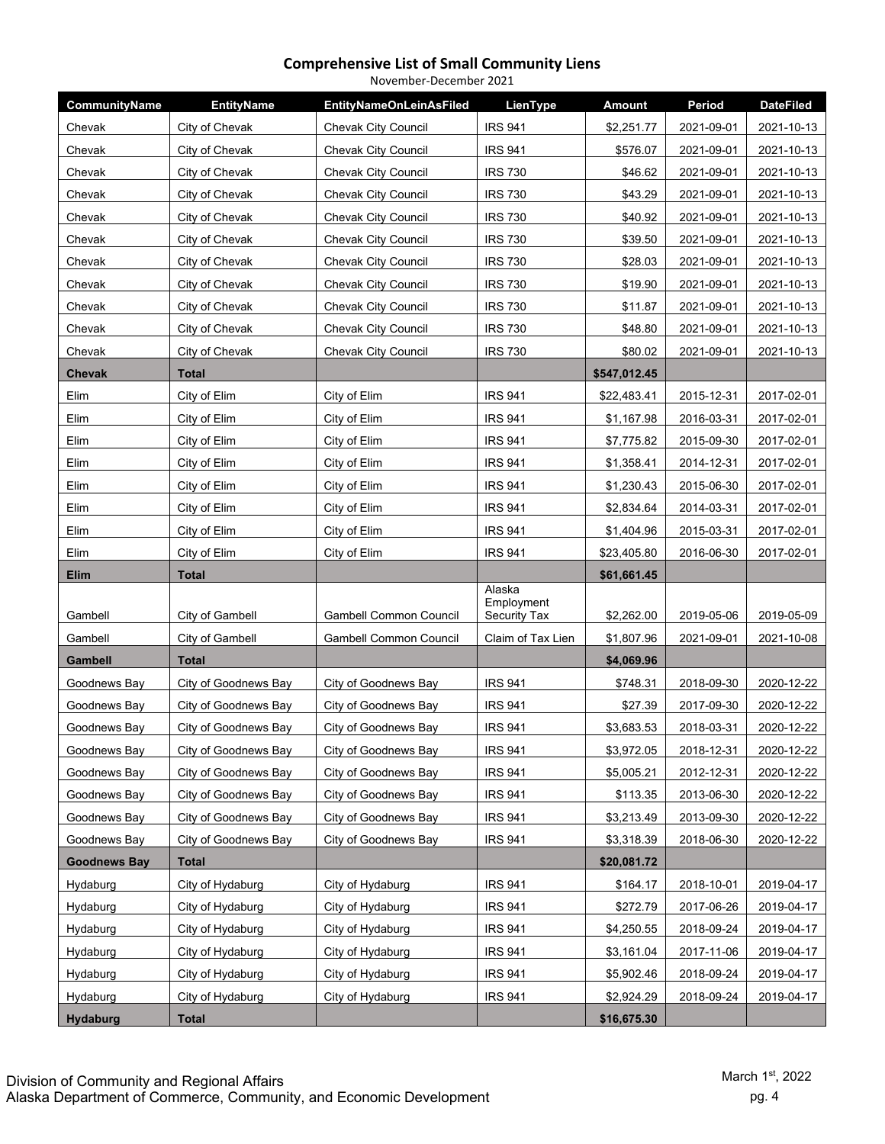| November-December 2021 |                      |                                |                      |               |            |                  |  |
|------------------------|----------------------|--------------------------------|----------------------|---------------|------------|------------------|--|
| CommunityName          | <b>EntityName</b>    | <b>EntityNameOnLeinAsFiled</b> | LienType             | <b>Amount</b> | Period     | <b>DateFiled</b> |  |
| Chevak                 | City of Chevak       | Chevak City Council            | <b>IRS 941</b>       | \$2,251.77    | 2021-09-01 | 2021-10-13       |  |
| Chevak                 | City of Chevak       | <b>Chevak City Council</b>     | <b>IRS 941</b>       | \$576.07      | 2021-09-01 | 2021-10-13       |  |
| Chevak                 | City of Chevak       | Chevak City Council            | <b>IRS 730</b>       | \$46.62       | 2021-09-01 | 2021-10-13       |  |
| Chevak                 | City of Chevak       | Chevak City Council            | <b>IRS 730</b>       | \$43.29       | 2021-09-01 | 2021-10-13       |  |
| Chevak                 | City of Chevak       | Chevak City Council            | <b>IRS 730</b>       | \$40.92       | 2021-09-01 | 2021-10-13       |  |
| Chevak                 | City of Chevak       | Chevak City Council            | <b>IRS 730</b>       | \$39.50       | 2021-09-01 | 2021-10-13       |  |
| Chevak                 | City of Chevak       | <b>Chevak City Council</b>     | <b>IRS 730</b>       | \$28.03       | 2021-09-01 | 2021-10-13       |  |
| Chevak                 | City of Chevak       | <b>Chevak City Council</b>     | <b>IRS 730</b>       | \$19.90       | 2021-09-01 | 2021-10-13       |  |
| Chevak                 | City of Chevak       | <b>Chevak City Council</b>     | <b>IRS 730</b>       | \$11.87       | 2021-09-01 | 2021-10-13       |  |
| Chevak                 | City of Chevak       | Chevak City Council            | <b>IRS 730</b>       | \$48.80       | 2021-09-01 | 2021-10-13       |  |
| Chevak                 | City of Chevak       | Chevak City Council            | <b>IRS 730</b>       | \$80.02       | 2021-09-01 | 2021-10-13       |  |
| <b>Chevak</b>          | <b>Total</b>         |                                |                      | \$547,012.45  |            |                  |  |
| Elim                   | City of Elim         | City of Elim                   | <b>IRS 941</b>       | \$22,483.41   | 2015-12-31 | 2017-02-01       |  |
| Elim                   | City of Elim         | City of Elim                   | <b>IRS 941</b>       | \$1,167.98    | 2016-03-31 | 2017-02-01       |  |
| Elim                   | City of Elim         | City of Elim                   | <b>IRS 941</b>       | \$7,775.82    | 2015-09-30 | 2017-02-01       |  |
| Elim                   | City of Elim         | City of Elim                   | <b>IRS 941</b>       | \$1,358.41    | 2014-12-31 | 2017-02-01       |  |
| Elim                   | City of Elim         | City of Elim                   | <b>IRS 941</b>       | \$1,230.43    | 2015-06-30 | 2017-02-01       |  |
| Elim                   | City of Elim         | City of Elim                   | <b>IRS 941</b>       | \$2,834.64    | 2014-03-31 | 2017-02-01       |  |
| Elim                   | City of Elim         | City of Elim                   | <b>IRS 941</b>       | \$1,404.96    | 2015-03-31 | 2017-02-01       |  |
| Elim                   | City of Elim         | City of Elim                   | <b>IRS 941</b>       | \$23,405.80   | 2016-06-30 | 2017-02-01       |  |
| <b>Elim</b>            | <b>Total</b>         |                                |                      | \$61,661.45   |            |                  |  |
|                        |                      |                                | Alaska<br>Employment |               |            |                  |  |
| Gambell                | City of Gambell      | <b>Gambell Common Council</b>  | <b>Security Tax</b>  | \$2,262.00    | 2019-05-06 | 2019-05-09       |  |
| Gambell                | City of Gambell      | <b>Gambell Common Council</b>  | Claim of Tax Lien    | \$1,807.96    | 2021-09-01 | 2021-10-08       |  |
| Gambell                | <b>Total</b>         |                                |                      | \$4,069.96    |            |                  |  |
| Goodnews Bay           | City of Goodnews Bay | City of Goodnews Bay           | <b>IRS 941</b>       | \$748.31      | 2018-09-30 | 2020-12-22       |  |
| Goodnews Bay           | City of Goodnews Bay | City of Goodnews Bay           | <b>IRS 941</b>       | \$27.39       | 2017-09-30 | 2020-12-22       |  |
| Goodnews Bay           | City of Goodnews Bay | City of Goodnews Bay           | IRS 941              | \$3,683.53    | 2018-03-31 | 2020-12-22       |  |
| Goodnews Bay           | City of Goodnews Bay | City of Goodnews Bay           | <b>IRS 941</b>       | \$3,972.05    | 2018-12-31 | 2020-12-22       |  |
| Goodnews Bay           | City of Goodnews Bay | City of Goodnews Bay           | <b>IRS 941</b>       | \$5,005.21    | 2012-12-31 | 2020-12-22       |  |
| Goodnews Bay           | City of Goodnews Bay | City of Goodnews Bay           | <b>IRS 941</b>       | \$113.35      | 2013-06-30 | 2020-12-22       |  |
| Goodnews Bay           | City of Goodnews Bay | City of Goodnews Bay           | <b>IRS 941</b>       | \$3,213.49    | 2013-09-30 | 2020-12-22       |  |
| Goodnews Bay           | City of Goodnews Bay | City of Goodnews Bay           | <b>IRS 941</b>       | \$3,318.39    | 2018-06-30 | 2020-12-22       |  |
| <b>Goodnews Bay</b>    | <b>Total</b>         |                                |                      | \$20,081.72   |            |                  |  |
| Hydaburg               | City of Hydaburg     | City of Hydaburg               | <b>IRS 941</b>       | \$164.17      | 2018-10-01 | 2019-04-17       |  |
| Hydaburg               | City of Hydaburg     | City of Hydaburg               | <b>IRS 941</b>       | \$272.79      | 2017-06-26 | 2019-04-17       |  |
| Hydaburg               | City of Hydaburg     | City of Hydaburg               | <b>IRS 941</b>       | \$4,250.55    | 2018-09-24 | 2019-04-17       |  |
| Hydaburg               | City of Hydaburg     | City of Hydaburg               | <b>IRS 941</b>       | \$3,161.04    | 2017-11-06 | 2019-04-17       |  |
| Hydaburg               | City of Hydaburg     | City of Hydaburg               | <b>IRS 941</b>       | \$5,902.46    | 2018-09-24 | 2019-04-17       |  |
| Hydaburg               | City of Hydaburg     | City of Hydaburg               | <b>IRS 941</b>       | \$2,924.29    | 2018-09-24 | 2019-04-17       |  |
| <b>Hydaburg</b>        | <b>Total</b>         |                                |                      | \$16,675.30   |            |                  |  |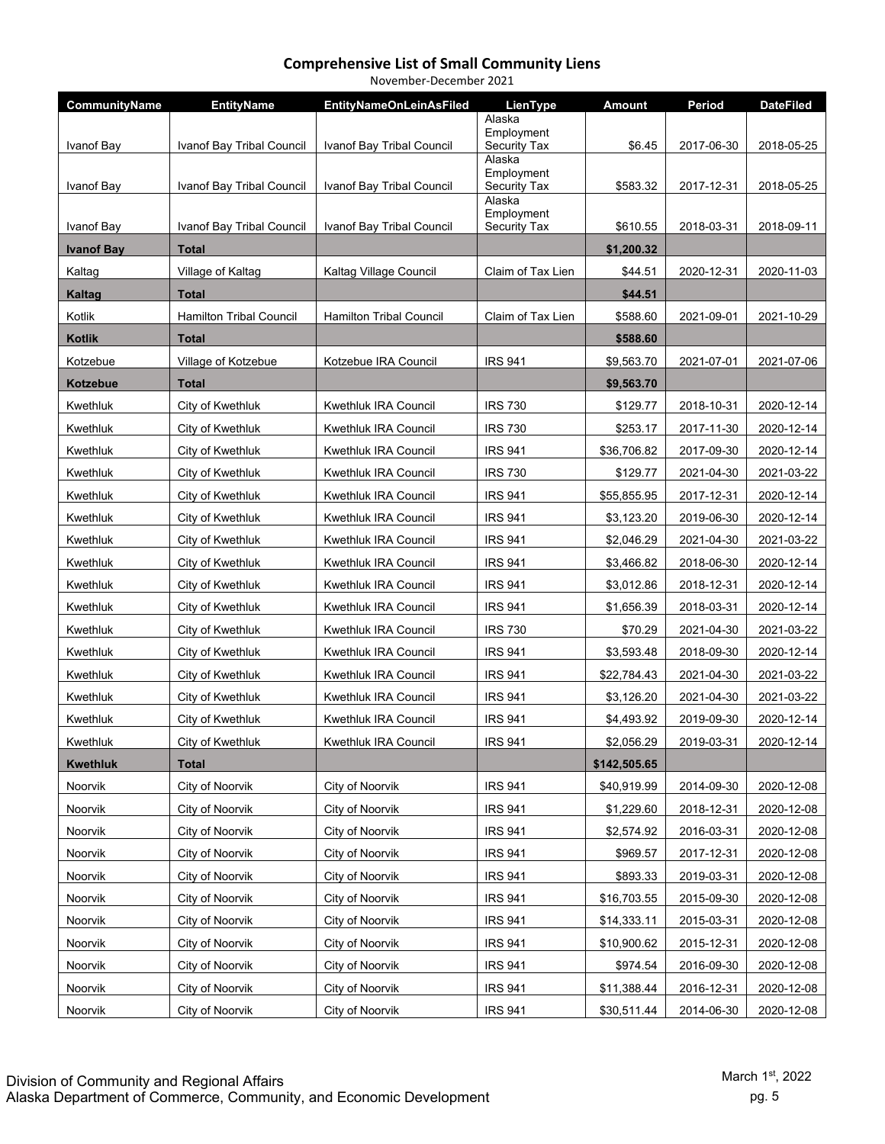| November-December 2021 |  |
|------------------------|--|
|------------------------|--|

| CommunityName     | <b>EntityName</b>              | <b>EntityNameOnLeinAsFiled</b> | LienType               | <b>Amount</b> | Period     | <b>DateFiled</b> |
|-------------------|--------------------------------|--------------------------------|------------------------|---------------|------------|------------------|
|                   |                                |                                | Alaska<br>Employment   |               |            |                  |
| Ivanof Bay        | Ivanof Bay Tribal Council      | Ivanof Bay Tribal Council      | Security Tax           | \$6.45        | 2017-06-30 | 2018-05-25       |
|                   |                                |                                | Alaska<br>Employment   |               |            |                  |
| Ivanof Bay        | Ivanof Bay Tribal Council      | Ivanof Bay Tribal Council      | Security Tax<br>Alaska | \$583.32      | 2017-12-31 | 2018-05-25       |
|                   |                                |                                | Employment             |               |            |                  |
| Ivanof Bay        | Ivanof Bay Tribal Council      | Ivanof Bay Tribal Council      | Security Tax           | \$610.55      | 2018-03-31 | 2018-09-11       |
| <b>Ivanof Bay</b> | Total                          |                                |                        | \$1,200.32    |            |                  |
| Kaltag            | Village of Kaltag              | Kaltag Village Council         | Claim of Tax Lien      | \$44.51       | 2020-12-31 | 2020-11-03       |
| <b>Kaltag</b>     | Total                          |                                |                        | \$44.51       |            |                  |
| Kotlik            | <b>Hamilton Tribal Council</b> | <b>Hamilton Tribal Council</b> | Claim of Tax Lien      | \$588.60      | 2021-09-01 | 2021-10-29       |
| <b>Kotlik</b>     | <b>Total</b>                   |                                |                        | \$588.60      |            |                  |
| Kotzebue          | Village of Kotzebue            | Kotzebue IRA Council           | <b>IRS 941</b>         | \$9,563.70    | 2021-07-01 | 2021-07-06       |
| Kotzebue          | Total                          |                                |                        | \$9,563.70    |            |                  |
| Kwethluk          | City of Kwethluk               | Kwethluk IRA Council           | <b>IRS 730</b>         | \$129.77      | 2018-10-31 | 2020-12-14       |
| Kwethluk          | City of Kwethluk               | Kwethluk IRA Council           | <b>IRS 730</b>         | \$253.17      | 2017-11-30 | 2020-12-14       |
| Kwethluk          | City of Kwethluk               | Kwethluk IRA Council           | <b>IRS 941</b>         | \$36,706.82   | 2017-09-30 | 2020-12-14       |
| Kwethluk          | City of Kwethluk               | Kwethluk IRA Council           | <b>IRS 730</b>         | \$129.77      | 2021-04-30 | 2021-03-22       |
| Kwethluk          | City of Kwethluk               | Kwethluk IRA Council           | <b>IRS 941</b>         | \$55,855.95   | 2017-12-31 | 2020-12-14       |
| Kwethluk          | City of Kwethluk               | Kwethluk IRA Council           | <b>IRS 941</b>         | \$3,123.20    | 2019-06-30 | 2020-12-14       |
| Kwethluk          | City of Kwethluk               | Kwethluk IRA Council           | <b>IRS 941</b>         | \$2,046.29    | 2021-04-30 | 2021-03-22       |
| Kwethluk          | City of Kwethluk               | Kwethluk IRA Council           | <b>IRS 941</b>         | \$3,466.82    | 2018-06-30 | 2020-12-14       |
| Kwethluk          | City of Kwethluk               | Kwethluk IRA Council           | <b>IRS 941</b>         | \$3,012.86    | 2018-12-31 | 2020-12-14       |
| Kwethluk          | City of Kwethluk               | Kwethluk IRA Council           | <b>IRS 941</b>         | \$1,656.39    | 2018-03-31 | 2020-12-14       |
| Kwethluk          | City of Kwethluk               | Kwethluk IRA Council           | <b>IRS 730</b>         | \$70.29       | 2021-04-30 | 2021-03-22       |
| Kwethluk          | City of Kwethluk               | Kwethluk IRA Council           | <b>IRS 941</b>         | \$3,593.48    | 2018-09-30 | 2020-12-14       |
| Kwethluk          | City of Kwethluk               | <b>Kwethluk IRA Council</b>    | <b>IRS 941</b>         | \$22,784.43   | 2021-04-30 | 2021-03-22       |
| Kwethluk          | City of Kwethluk               | Kwethluk IRA Council           | <b>IRS 941</b>         | \$3,126.20    | 2021-04-30 | 2021-03-22       |
| Kwethluk          | City of Kwethluk               | Kwethluk IRA Council           | <b>IRS 941</b>         | \$4,493.92    | 2019-09-30 | 2020-12-14       |
| Kwethluk          | City of Kwethluk               | Kwethluk IRA Council           | <b>IRS 941</b>         | \$2,056.29    | 2019-03-31 | 2020-12-14       |
| <b>Kwethluk</b>   | <b>Total</b>                   |                                |                        | \$142,505.65  |            |                  |
| Noorvik           | City of Noorvik                | City of Noorvik                | <b>IRS 941</b>         | \$40,919.99   | 2014-09-30 | 2020-12-08       |
| Noorvik           | City of Noorvik                | City of Noorvik                | <b>IRS 941</b>         | \$1,229.60    | 2018-12-31 | 2020-12-08       |
| Noorvik           | City of Noorvik                | City of Noorvik                | <b>IRS 941</b>         | \$2,574.92    | 2016-03-31 | 2020-12-08       |
| Noorvik           | City of Noorvik                | City of Noorvik                | <b>IRS 941</b>         | \$969.57      | 2017-12-31 | 2020-12-08       |
| Noorvik           | City of Noorvik                | City of Noorvik                | <b>IRS 941</b>         | \$893.33      | 2019-03-31 | 2020-12-08       |
| Noorvik           | City of Noorvik                | City of Noorvik                | <b>IRS 941</b>         | \$16,703.55   | 2015-09-30 | 2020-12-08       |
| Noorvik           | City of Noorvik                | City of Noorvik                | <b>IRS 941</b>         | \$14,333.11   | 2015-03-31 | 2020-12-08       |
| Noorvik           | City of Noorvik                | City of Noorvik                | <b>IRS 941</b>         | \$10,900.62   | 2015-12-31 | 2020-12-08       |
| Noorvik           | City of Noorvik                | City of Noorvik                | <b>IRS 941</b>         | \$974.54      | 2016-09-30 | 2020-12-08       |
| Noorvik           | City of Noorvik                | City of Noorvik                | <b>IRS 941</b>         | \$11,388.44   | 2016-12-31 | 2020-12-08       |
| Noorvik           | City of Noorvik                | City of Noorvik                | <b>IRS 941</b>         | \$30,511.44   | 2014-06-30 | 2020-12-08       |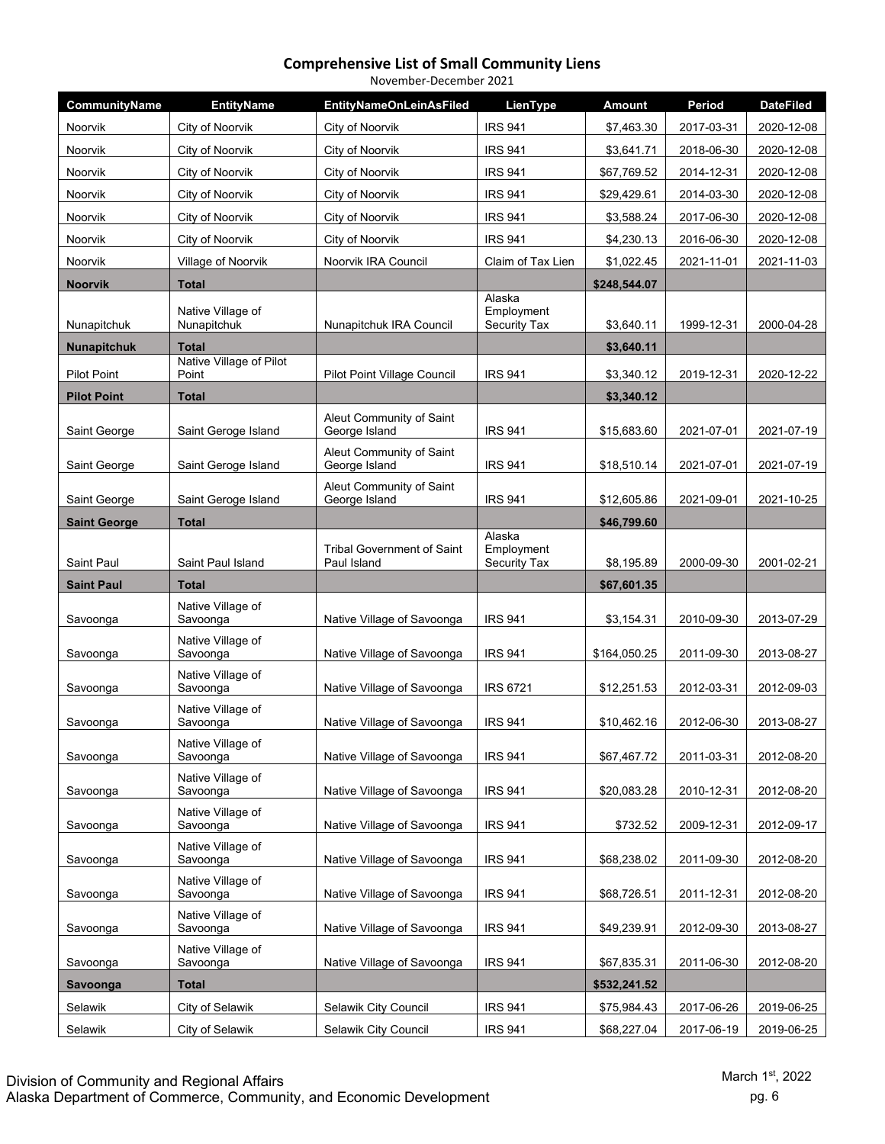| November-December 2021 |                                  |                                                  |                                      |              |            |                  |  |  |
|------------------------|----------------------------------|--------------------------------------------------|--------------------------------------|--------------|------------|------------------|--|--|
| CommunityName          | <b>EntityName</b>                | EntityNameOnLeinAsFiled                          | LienType                             | Amount       | Period     | <b>DateFiled</b> |  |  |
| Noorvik                | City of Noorvik                  | City of Noorvik                                  | <b>IRS 941</b>                       | \$7,463.30   | 2017-03-31 | 2020-12-08       |  |  |
| <b>Noorvik</b>         | City of Noorvik                  | City of Noorvik                                  | <b>IRS 941</b>                       | \$3,641.71   | 2018-06-30 | 2020-12-08       |  |  |
| Noorvik                | City of Noorvik                  | City of Noorvik                                  | <b>IRS 941</b>                       | \$67,769.52  | 2014-12-31 | 2020-12-08       |  |  |
| Noorvik                | City of Noorvik                  | City of Noorvik                                  | <b>IRS 941</b>                       | \$29,429.61  | 2014-03-30 | 2020-12-08       |  |  |
| Noorvik                | City of Noorvik                  | City of Noorvik                                  | <b>IRS 941</b>                       | \$3,588.24   | 2017-06-30 | 2020-12-08       |  |  |
| <b>Noorvik</b>         | City of Noorvik                  | City of Noorvik                                  | <b>IRS 941</b>                       | \$4,230.13   | 2016-06-30 | 2020-12-08       |  |  |
| <b>Noorvik</b>         | Village of Noorvik               | Noorvik IRA Council                              | Claim of Tax Lien                    | \$1,022.45   | 2021-11-01 | 2021-11-03       |  |  |
| <b>Noorvik</b>         | <b>Total</b>                     |                                                  |                                      | \$248,544.07 |            |                  |  |  |
| Nunapitchuk            | Native Village of<br>Nunapitchuk | Nunapitchuk IRA Council                          | Alaska<br>Employment<br>Security Tax | \$3,640.11   | 1999-12-31 | 2000-04-28       |  |  |
| <b>Nunapitchuk</b>     | <b>Total</b>                     |                                                  |                                      | \$3,640.11   |            |                  |  |  |
| <b>Pilot Point</b>     | Native Village of Pilot<br>Point | Pilot Point Village Council                      | <b>IRS 941</b>                       | \$3,340.12   | 2019-12-31 | 2020-12-22       |  |  |
| <b>Pilot Point</b>     | <b>Total</b>                     |                                                  |                                      | \$3,340.12   |            |                  |  |  |
| Saint George           | Saint Geroge Island              | Aleut Community of Saint<br>George Island        | <b>IRS 941</b>                       | \$15,683.60  | 2021-07-01 | 2021-07-19       |  |  |
| Saint George           | Saint Geroge Island              | Aleut Community of Saint<br>George Island        | <b>IRS 941</b>                       | \$18,510.14  | 2021-07-01 | 2021-07-19       |  |  |
| Saint George           | Saint Geroge Island              | Aleut Community of Saint<br>George Island        | <b>IRS 941</b>                       | \$12,605.86  | 2021-09-01 | 2021-10-25       |  |  |
| <b>Saint George</b>    | <b>Total</b>                     |                                                  |                                      | \$46,799.60  |            |                  |  |  |
| Saint Paul             | Saint Paul Island                | <b>Tribal Government of Saint</b><br>Paul Island | Alaska<br>Employment<br>Security Tax | \$8,195.89   | 2000-09-30 | 2001-02-21       |  |  |
| <b>Saint Paul</b>      | <b>Total</b>                     |                                                  |                                      | \$67,601.35  |            |                  |  |  |
| Savoonga               | Native Village of<br>Savoonga    | Native Village of Savoonga                       | <b>IRS 941</b>                       | \$3,154.31   | 2010-09-30 | 2013-07-29       |  |  |
| Savoonga               | Native Village of<br>Savoonga    | Native Village of Savoonga                       | <b>IRS 941</b>                       | \$164,050.25 | 2011-09-30 | 2013-08-27       |  |  |
| Savoonga               | Native Village of<br>Savoonga    | Native Village of Savoonga                       | <b>IRS 6721</b>                      | \$12,251.53  | 2012-03-31 | 2012-09-03       |  |  |
| Savoonga               | Native Village of<br>Savoonga    | Native Village of Savoonga                       | <b>IRS 941</b>                       | \$10.462.16  | 2012-06-30 | 2013-08-27       |  |  |
| Savoonga               | Native Village of<br>Savoonga    | Native Village of Savoonga                       | <b>IRS 941</b>                       | \$67,467.72  | 2011-03-31 | 2012-08-20       |  |  |
| Savoonga               | Native Village of<br>Savoonga    | Native Village of Savoonga                       | <b>IRS 941</b>                       | \$20,083.28  | 2010-12-31 | 2012-08-20       |  |  |
| Savoonga               | Native Village of<br>Savoonga    | Native Village of Savoonga                       | <b>IRS 941</b>                       | \$732.52     | 2009-12-31 | 2012-09-17       |  |  |
| Savoonga               | Native Village of<br>Savoonga    | Native Village of Savoonga                       | <b>IRS 941</b>                       | \$68,238.02  | 2011-09-30 | 2012-08-20       |  |  |
| Savoonga               | Native Village of<br>Savoonga    | Native Village of Savoonga                       | <b>IRS 941</b>                       | \$68,726.51  | 2011-12-31 | 2012-08-20       |  |  |
| Savoonga               | Native Village of<br>Savoonga    | Native Village of Savoonga                       | <b>IRS 941</b>                       | \$49,239.91  | 2012-09-30 | 2013-08-27       |  |  |
| Savoonga               | Native Village of<br>Savoonga    | Native Village of Savoonga                       | <b>IRS 941</b>                       | \$67,835.31  | 2011-06-30 | 2012-08-20       |  |  |
| Savoonga               | <b>Total</b>                     |                                                  |                                      | \$532,241.52 |            |                  |  |  |
| Selawik                | City of Selawik                  | Selawik City Council                             | <b>IRS 941</b>                       | \$75,984.43  | 2017-06-26 | 2019-06-25       |  |  |
| Selawik                | City of Selawik                  | Selawik City Council                             | <b>IRS 941</b>                       | \$68,227.04  | 2017-06-19 | 2019-06-25       |  |  |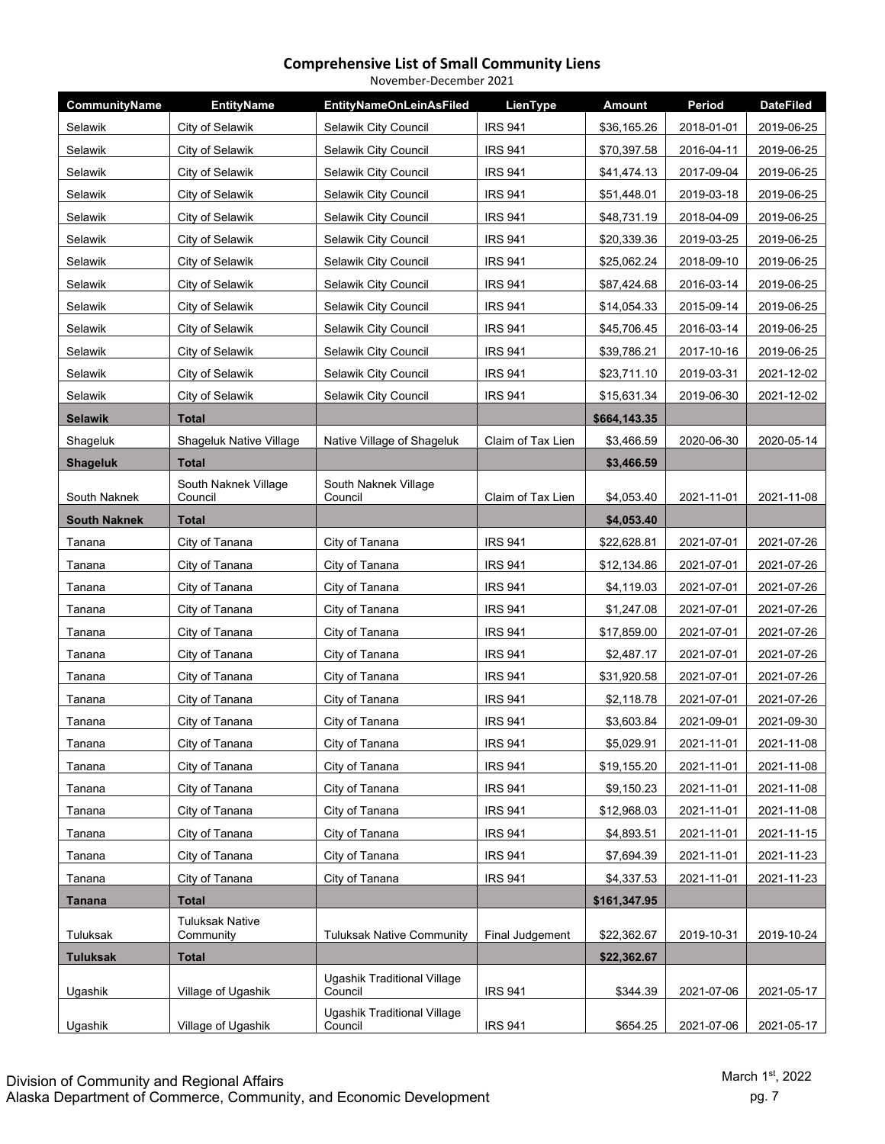| November-December 2021 |                                     |                                        |                   |               |            |                  |  |
|------------------------|-------------------------------------|----------------------------------------|-------------------|---------------|------------|------------------|--|
| CommunityName          | <b>EntityName</b>                   | <b>EntityNameOnLeinAsFiled</b>         | LienType          | <b>Amount</b> | Period     | <b>DateFiled</b> |  |
| Selawik                | City of Selawik                     | Selawik City Council                   | <b>IRS 941</b>    | \$36,165.26   | 2018-01-01 | 2019-06-25       |  |
| Selawik                | City of Selawik                     | Selawik City Council                   | <b>IRS 941</b>    | \$70,397.58   | 2016-04-11 | 2019-06-25       |  |
| Selawik                | City of Selawik                     | Selawik City Council                   | <b>IRS 941</b>    | \$41,474.13   | 2017-09-04 | 2019-06-25       |  |
| Selawik                | City of Selawik                     | Selawik City Council                   | <b>IRS 941</b>    | \$51,448.01   | 2019-03-18 | 2019-06-25       |  |
| Selawik                | City of Selawik                     | Selawik City Council                   | <b>IRS 941</b>    | \$48,731.19   | 2018-04-09 | 2019-06-25       |  |
| Selawik                | City of Selawik                     | Selawik City Council                   | <b>IRS 941</b>    | \$20,339.36   | 2019-03-25 | 2019-06-25       |  |
| Selawik                | City of Selawik                     | Selawik City Council                   | <b>IRS 941</b>    | \$25,062.24   | 2018-09-10 | 2019-06-25       |  |
| Selawik                | City of Selawik                     | Selawik City Council                   | <b>IRS 941</b>    | \$87,424.68   | 2016-03-14 | 2019-06-25       |  |
| Selawik                | City of Selawik                     | Selawik City Council                   | <b>IRS 941</b>    | \$14,054.33   | 2015-09-14 | 2019-06-25       |  |
| Selawik                | City of Selawik                     | Selawik City Council                   | <b>IRS 941</b>    | \$45,706.45   | 2016-03-14 | 2019-06-25       |  |
| Selawik                | City of Selawik                     | Selawik City Council                   | <b>IRS 941</b>    | \$39,786.21   | 2017-10-16 | 2019-06-25       |  |
| Selawik                | City of Selawik                     | Selawik City Council                   | <b>IRS 941</b>    | \$23,711.10   | 2019-03-31 | 2021-12-02       |  |
| Selawik                | City of Selawik                     | Selawik City Council                   | <b>IRS 941</b>    | \$15,631.34   | 2019-06-30 | 2021-12-02       |  |
| <b>Selawik</b>         | <b>Total</b>                        |                                        |                   | \$664,143.35  |            |                  |  |
| Shageluk               | Shageluk Native Village             | Native Village of Shageluk             | Claim of Tax Lien | \$3,466.59    | 2020-06-30 | 2020-05-14       |  |
| <b>Shageluk</b>        | <b>Total</b>                        |                                        |                   | \$3,466.59    |            |                  |  |
|                        | South Naknek Village                | South Naknek Village                   |                   |               |            |                  |  |
| South Naknek           | Council                             | Council                                | Claim of Tax Lien | \$4,053.40    | 2021-11-01 | 2021-11-08       |  |
| <b>South Naknek</b>    | Total                               |                                        |                   | \$4,053.40    |            |                  |  |
| Tanana                 | City of Tanana                      | City of Tanana                         | <b>IRS 941</b>    | \$22,628.81   | 2021-07-01 | 2021-07-26       |  |
| Tanana                 | City of Tanana                      | City of Tanana                         | <b>IRS 941</b>    | \$12,134.86   | 2021-07-01 | 2021-07-26       |  |
| Tanana                 | City of Tanana                      | City of Tanana                         | <b>IRS 941</b>    | \$4,119.03    | 2021-07-01 | 2021-07-26       |  |
| Tanana                 | City of Tanana                      | City of Tanana                         | <b>IRS 941</b>    | \$1,247.08    | 2021-07-01 | 2021-07-26       |  |
| Tanana                 | City of Tanana                      | City of Tanana                         | <b>IRS 941</b>    | \$17,859.00   | 2021-07-01 | 2021-07-26       |  |
| Tanana                 | City of Tanana                      | City of Tanana                         | <b>IRS 941</b>    | \$2,487.17    | 2021-07-01 | 2021-07-26       |  |
| Tanana                 | City of Tanana                      | City of Tanana                         | <b>IRS 941</b>    | \$31,920.58   | 2021-07-01 | 2021-07-26       |  |
| Tanana                 | City of Tanana                      | City of Tanana                         | <b>IRS 941</b>    | \$2,118.78    | 2021-07-01 | 2021-07-26       |  |
| Tanana                 | City of Tanana                      | City of Tanana                         | <b>IRS 941</b>    | \$3.603.84    | 2021-09-01 | 2021-09-30       |  |
| Tanana                 | City of Tanana                      | City of Tanana                         | <b>IRS 941</b>    | \$5,029.91    | 2021-11-01 | 2021-11-08       |  |
| Tanana                 | City of Tanana                      | City of Tanana                         | <b>IRS 941</b>    | \$19,155.20   | 2021-11-01 | 2021-11-08       |  |
| Tanana                 | City of Tanana                      | City of Tanana                         | <b>IRS 941</b>    | \$9,150.23    | 2021-11-01 | 2021-11-08       |  |
| Tanana                 | City of Tanana                      | City of Tanana                         | <b>IRS 941</b>    | \$12,968.03   | 2021-11-01 | 2021-11-08       |  |
| Tanana                 | City of Tanana                      | City of Tanana                         | <b>IRS 941</b>    | \$4,893.51    | 2021-11-01 | 2021-11-15       |  |
| Tanana                 | City of Tanana                      | City of Tanana                         | <b>IRS 941</b>    | \$7,694.39    | 2021-11-01 | 2021-11-23       |  |
| Tanana                 | City of Tanana                      | City of Tanana                         | <b>IRS 941</b>    | \$4,337.53    | 2021-11-01 | 2021-11-23       |  |
| <b>Tanana</b>          | <b>Total</b>                        |                                        |                   | \$161,347.95  |            |                  |  |
| Tuluksak               | <b>Tuluksak Native</b><br>Community | <b>Tuluksak Native Community</b>       | Final Judgement   | \$22,362.67   | 2019-10-31 | 2019-10-24       |  |
| <b>Tuluksak</b>        | <b>Total</b>                        |                                        |                   | \$22,362.67   |            |                  |  |
| Ugashik                | Village of Ugashik                  | Ugashik Traditional Village<br>Council | <b>IRS 941</b>    | \$344.39      | 2021-07-06 | 2021-05-17       |  |
| Ugashik                | Village of Ugashik                  | Ugashik Traditional Village<br>Council | <b>IRS 941</b>    | \$654.25      | 2021-07-06 | 2021-05-17       |  |